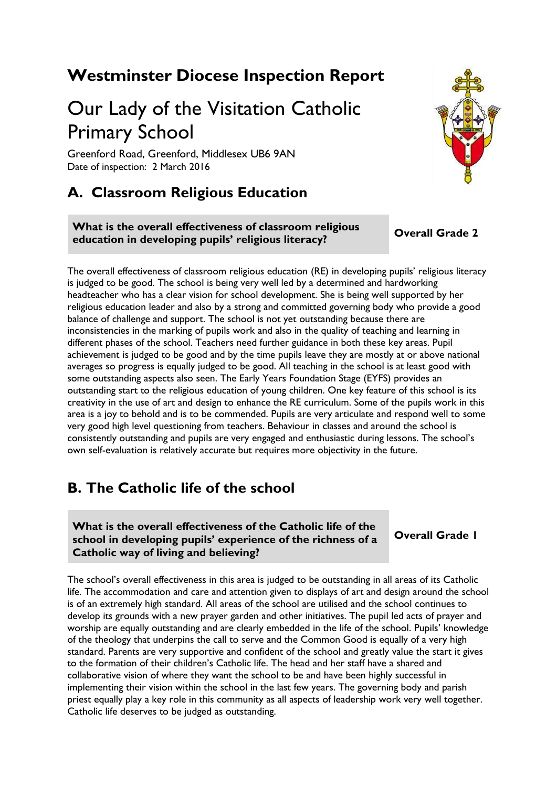## **Westminster Diocese Inspection Report**

# Our Lady of the Visitation Catholic Primary School

Greenford Road, Greenford, Middlesex UB6 9AN Date of inspection: 2 March 2016

## **A. Classroom Religious Education**

**What is the overall effectiveness of classroom religious education in developing pupils' religious literacy? Overall Grade 2** 

The overall effectiveness of classroom religious education (RE) in developing pupils' religious literacy is judged to be good. The school is being very well led by a determined and hardworking headteacher who has a clear vision for school development. She is being well supported by her religious education leader and also by a strong and committed governing body who provide a good balance of challenge and support. The school is not yet outstanding because there are inconsistencies in the marking of pupils work and also in the quality of teaching and learning in different phases of the school. Teachers need further guidance in both these key areas. Pupil achievement is judged to be good and by the time pupils leave they are mostly at or above national averages so progress is equally judged to be good. All teaching in the school is at least good with some outstanding aspects also seen. The Early Years Foundation Stage (EYFS) provides an outstanding start to the religious education of young children. One key feature of this school is its creativity in the use of art and design to enhance the RE curriculum. Some of the pupils work in this area is a joy to behold and is to be commended. Pupils are very articulate and respond well to some very good high level questioning from teachers. Behaviour in classes and around the school is consistently outstanding and pupils are very engaged and enthusiastic during lessons. The school's own self-evaluation is relatively accurate but requires more objectivity in the future.

## **B. The Catholic life of the school**

**What is the overall effectiveness of the Catholic life of the school in developing pupils' experience of the richness of a Catholic way of living and believing?**

**Overall Grade 1**

The school's overall effectiveness in this area is judged to be outstanding in all areas of its Catholic life. The accommodation and care and attention given to displays of art and design around the school is of an extremely high standard. All areas of the school are utilised and the school continues to develop its grounds with a new prayer garden and other initiatives. The pupil led acts of prayer and worship are equally outstanding and are clearly embedded in the life of the school. Pupils' knowledge of the theology that underpins the call to serve and the Common Good is equally of a very high standard. Parents are very supportive and confident of the school and greatly value the start it gives to the formation of their children's Catholic life. The head and her staff have a shared and collaborative vision of where they want the school to be and have been highly successful in implementing their vision within the school in the last few years. The governing body and parish priest equally play a key role in this community as all aspects of leadership work very well together. Catholic life deserves to be judged as outstanding.

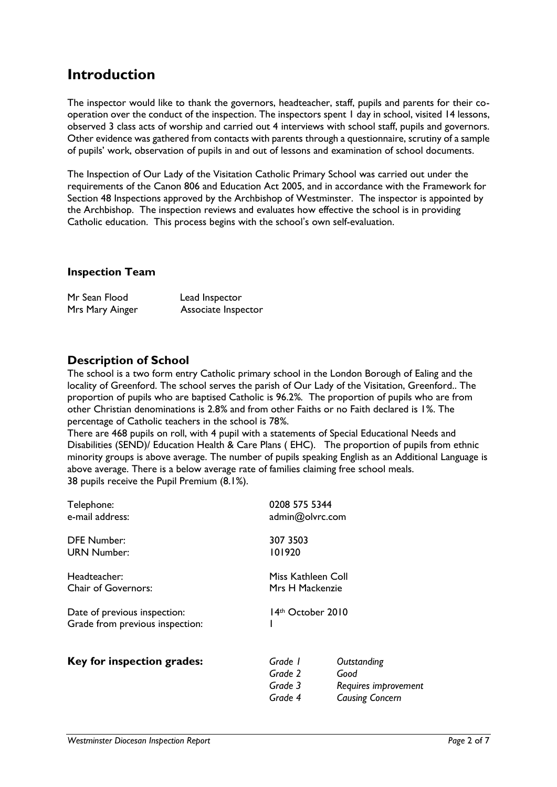## **Introduction**

The inspector would like to thank the governors, headteacher, staff, pupils and parents for their cooperation over the conduct of the inspection. The inspectors spent 1 day in school, visited 14 lessons, observed 3 class acts of worship and carried out 4 interviews with school staff, pupils and governors. Other evidence was gathered from contacts with parents through a questionnaire, scrutiny of a sample of pupils' work, observation of pupils in and out of lessons and examination of school documents.

The Inspection of Our Lady of the Visitation Catholic Primary School was carried out under the requirements of the Canon 806 and Education Act 2005, and in accordance with the Framework for Section 48 Inspections approved by the Archbishop of Westminster. The inspector is appointed by the Archbishop. The inspection reviews and evaluates how effective the school is in providing Catholic education. This process begins with the school's own self-evaluation.

#### **Inspection Team**

| Mr Sean Flood   | Lead Inspector      |  |
|-----------------|---------------------|--|
| Mrs Mary Ainger | Associate Inspector |  |

### **Description of School**

The school is a two form entry Catholic primary school in the London Borough of Ealing and the locality of Greenford. The school serves the parish of Our Lady of the Visitation, Greenford.. The proportion of pupils who are baptised Catholic is 96.2*%.* The proportion of pupils who are from other Christian denominations is 2.8*%* and from other Faiths or no Faith declared is 1*%*. The percentage of Catholic teachers in the school is 78*%*.

There are 468 pupils on roll, with 4 pupil with a statements of Special Educational Needs and Disabilities (SEND)/ Education Health & Care Plans ( EHC). The proportion of pupils from ethnic minority groups is above average. The number of pupils speaking English as an Additional Language is above average. There is a below average rate of families claiming free school meals. 38 pupils receive the Pupil Premium (8.1%).

| Telephone:                      | 0208 575 5344      |                        |
|---------------------------------|--------------------|------------------------|
| e-mail address:                 | admin@olvrc.com    |                        |
| <b>DFE Number:</b>              | 307 3503           |                        |
| <b>URN Number:</b>              | 101920             |                        |
| Headteacher:                    | Miss Kathleen Coll |                        |
| <b>Chair of Governors:</b>      | Mrs H Mackenzie    |                        |
| Date of previous inspection:    | 14th October 2010  |                        |
| Grade from previous inspection: |                    |                        |
| Key for inspection grades:      | Grade 1            | Outstanding            |
|                                 | Grade 2            | Good                   |
|                                 | Grade 3            | Requires improvement   |
|                                 | Grade 4            | <b>Causing Concern</b> |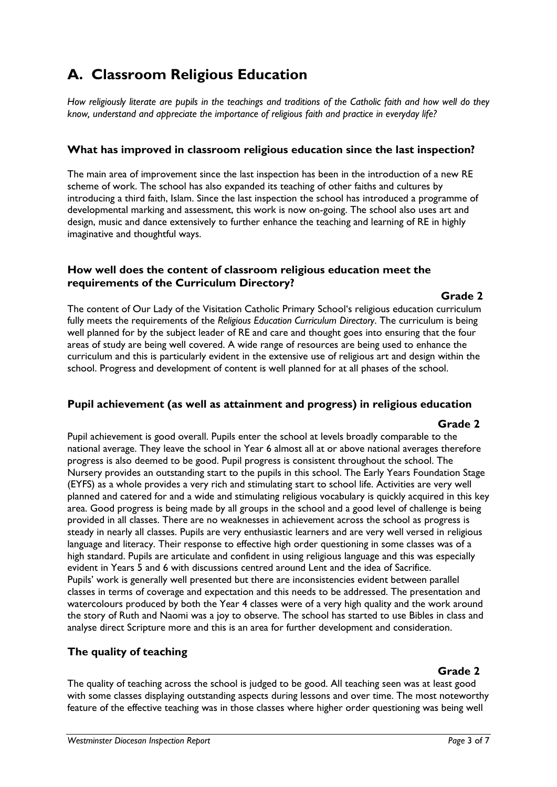## **A. Classroom Religious Education**

*How religiously literate are pupils in the teachings and traditions of the Catholic faith and how well do they know, understand and appreciate the importance of religious faith and practice in everyday life?*

#### **What has improved in classroom religious education since the last inspection?**

The main area of improvement since the last inspection has been in the introduction of a new RE scheme of work. The school has also expanded its teaching of other faiths and cultures by introducing a third faith, Islam. Since the last inspection the school has introduced a programme of developmental marking and assessment, this work is now on-going. The school also uses art and design, music and dance extensively to further enhance the teaching and learning of RE in highly imaginative and thoughtful ways.

#### **How well does the content of classroom religious education meet the requirements of the Curriculum Directory?**

#### **Grade 2**

The content of Our Lady of the Visitation Catholic Primary School's religious education curriculum fully meets the requirements of the *Religious Education Curriculum Directory*. The curriculum is being well planned for by the subject leader of RE and care and thought goes into ensuring that the four areas of study are being well covered. A wide range of resources are being used to enhance the curriculum and this is particularly evident in the extensive use of religious art and design within the school. Progress and development of content is well planned for at all phases of the school.

#### **Pupil achievement (as well as attainment and progress) in religious education**

#### **Grade 2**

Pupil achievement is good overall. Pupils enter the school at levels broadly comparable to the national average. They leave the school in Year 6 almost all at or above national averages therefore progress is also deemed to be good. Pupil progress is consistent throughout the school. The Nursery provides an outstanding start to the pupils in this school. The Early Years Foundation Stage (EYFS) as a whole provides a very rich and stimulating start to school life. Activities are very well planned and catered for and a wide and stimulating religious vocabulary is quickly acquired in this key area. Good progress is being made by all groups in the school and a good level of challenge is being provided in all classes. There are no weaknesses in achievement across the school as progress is steady in nearly all classes. Pupils are very enthusiastic learners and are very well versed in religious language and literacy. Their response to effective high order questioning in some classes was of a high standard. Pupils are articulate and confident in using religious language and this was especially evident in Years 5 and 6 with discussions centred around Lent and the idea of Sacrifice. Pupils' work is generally well presented but there are inconsistencies evident between parallel classes in terms of coverage and expectation and this needs to be addressed. The presentation and watercolours produced by both the Year 4 classes were of a very high quality and the work around the story of Ruth and Naomi was a joy to observe. The school has started to use Bibles in class and analyse direct Scripture more and this is an area for further development and consideration.

#### **The quality of teaching**

#### **Grade 2**

The quality of teaching across the school is judged to be good. All teaching seen was at least good with some classes displaying outstanding aspects during lessons and over time. The most noteworthy feature of the effective teaching was in those classes where higher order questioning was being well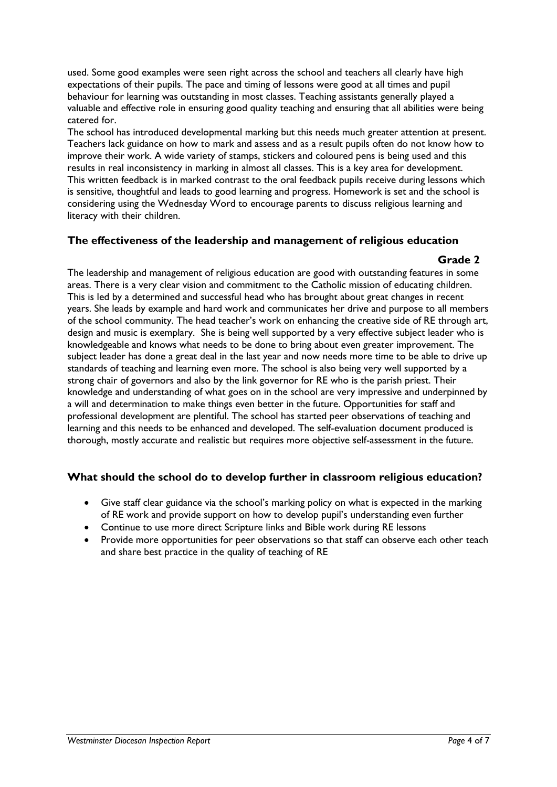used. Some good examples were seen right across the school and teachers all clearly have high expectations of their pupils. The pace and timing of lessons were good at all times and pupil behaviour for learning was outstanding in most classes. Teaching assistants generally played a valuable and effective role in ensuring good quality teaching and ensuring that all abilities were being catered for.

The school has introduced developmental marking but this needs much greater attention at present. Teachers lack guidance on how to mark and assess and as a result pupils often do not know how to improve their work. A wide variety of stamps, stickers and coloured pens is being used and this results in real inconsistency in marking in almost all classes. This is a key area for development. This written feedback is in marked contrast to the oral feedback pupils receive during lessons which is sensitive, thoughtful and leads to good learning and progress. Homework is set and the school is considering using the Wednesday Word to encourage parents to discuss religious learning and literacy with their children.

#### **The effectiveness of the leadership and management of religious education**

#### **Grade 2**

The leadership and management of religious education are good with outstanding features in some areas. There is a very clear vision and commitment to the Catholic mission of educating children. This is led by a determined and successful head who has brought about great changes in recent years. She leads by example and hard work and communicates her drive and purpose to all members of the school community. The head teacher's work on enhancing the creative side of RE through art, design and music is exemplary. She is being well supported by a very effective subject leader who is knowledgeable and knows what needs to be done to bring about even greater improvement. The subject leader has done a great deal in the last year and now needs more time to be able to drive up standards of teaching and learning even more. The school is also being very well supported by a strong chair of governors and also by the link governor for RE who is the parish priest. Their knowledge and understanding of what goes on in the school are very impressive and underpinned by a will and determination to make things even better in the future. Opportunities for staff and professional development are plentiful. The school has started peer observations of teaching and learning and this needs to be enhanced and developed. The self-evaluation document produced is thorough, mostly accurate and realistic but requires more objective self-assessment in the future.

#### **What should the school do to develop further in classroom religious education?**

- Give staff clear guidance via the school's marking policy on what is expected in the marking of RE work and provide support on how to develop pupil's understanding even further
- Continue to use more direct Scripture links and Bible work during RE lessons
- Provide more opportunities for peer observations so that staff can observe each other teach and share best practice in the quality of teaching of RE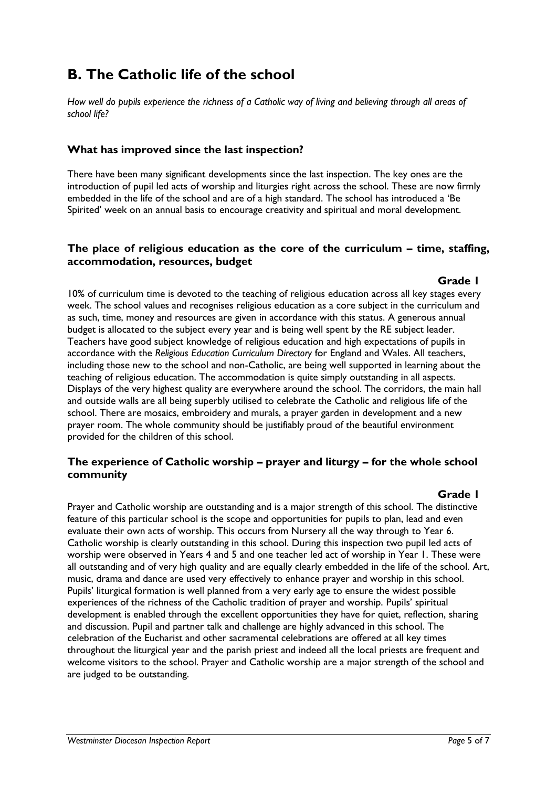## **B. The Catholic life of the school**

*How well do pupils experience the richness of a Catholic way of living and believing through all areas of school life?*

#### **What has improved since the last inspection?**

There have been many significant developments since the last inspection. The key ones are the introduction of pupil led acts of worship and liturgies right across the school. These are now firmly embedded in the life of the school and are of a high standard. The school has introduced a 'Be Spirited' week on an annual basis to encourage creativity and spiritual and moral development.

#### **The place of religious education as the core of the curriculum – time, staffing, accommodation, resources, budget**

#### **Grade 1**

10% of curriculum time is devoted to the teaching of religious education across all key stages every week. The school values and recognises religious education as a core subject in the curriculum and as such, time, money and resources are given in accordance with this status. A generous annual budget is allocated to the subject every year and is being well spent by the RE subject leader. Teachers have good subject knowledge of religious education and high expectations of pupils in accordance with the *Religious Education Curriculum Directory* for England and Wales. All teachers, including those new to the school and non-Catholic, are being well supported in learning about the teaching of religious education. The accommodation is quite simply outstanding in all aspects. Displays of the very highest quality are everywhere around the school. The corridors, the main hall and outside walls are all being superbly utilised to celebrate the Catholic and religious life of the school. There are mosaics, embroidery and murals, a prayer garden in development and a new prayer room. The whole community should be justifiably proud of the beautiful environment provided for the children of this school.

#### **The experience of Catholic worship – prayer and liturgy – for the whole school community**

#### **Grade 1**

Prayer and Catholic worship are outstanding and is a major strength of this school. The distinctive feature of this particular school is the scope and opportunities for pupils to plan, lead and even evaluate their own acts of worship. This occurs from Nursery all the way through to Year 6. Catholic worship is clearly outstanding in this school. During this inspection two pupil led acts of worship were observed in Years 4 and 5 and one teacher led act of worship in Year 1. These were all outstanding and of very high quality and are equally clearly embedded in the life of the school. Art, music, drama and dance are used very effectively to enhance prayer and worship in this school. Pupils' liturgical formation is well planned from a very early age to ensure the widest possible experiences of the richness of the Catholic tradition of prayer and worship. Pupils' spiritual development is enabled through the excellent opportunities they have for quiet, reflection, sharing and discussion. Pupil and partner talk and challenge are highly advanced in this school. The celebration of the Eucharist and other sacramental celebrations are offered at all key times throughout the liturgical year and the parish priest and indeed all the local priests are frequent and welcome visitors to the school. Prayer and Catholic worship are a major strength of the school and are judged to be outstanding.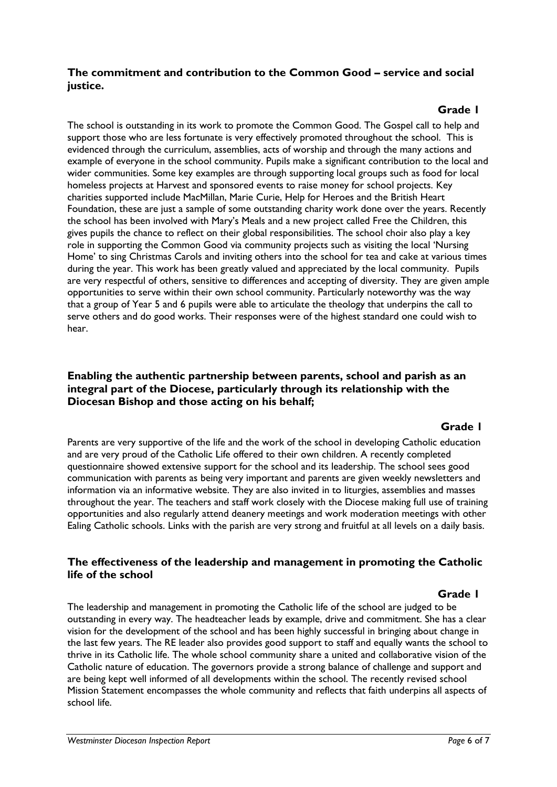#### **The commitment and contribution to the Common Good – service and social justice.**

### **Grade 1**

The school is outstanding in its work to promote the Common Good. The Gospel call to help and support those who are less fortunate is very effectively promoted throughout the school. This is evidenced through the curriculum, assemblies, acts of worship and through the many actions and example of everyone in the school community. Pupils make a significant contribution to the local and wider communities. Some key examples are through supporting local groups such as food for local homeless projects at Harvest and sponsored events to raise money for school projects. Key charities supported include MacMillan, Marie Curie, Help for Heroes and the British Heart Foundation, these are just a sample of some outstanding charity work done over the years. Recently the school has been involved with Mary's Meals and a new project called Free the Children, this gives pupils the chance to reflect on their global responsibilities. The school choir also play a key role in supporting the Common Good via community projects such as visiting the local 'Nursing Home' to sing Christmas Carols and inviting others into the school for tea and cake at various times during the year. This work has been greatly valued and appreciated by the local community. Pupils are very respectful of others, sensitive to differences and accepting of diversity. They are given ample opportunities to serve within their own school community. Particularly noteworthy was the way that a group of Year 5 and 6 pupils were able to articulate the theology that underpins the call to serve others and do good works. Their responses were of the highest standard one could wish to hear.

#### **Enabling the authentic partnership between parents, school and parish as an integral part of the Diocese, particularly through its relationship with the Diocesan Bishop and those acting on his behalf;**

#### **Cancel 1 <b>Grade 1 Grade 1**

Parents are very supportive of the life and the work of the school in developing Catholic education and are very proud of the Catholic Life offered to their own children. A recently completed questionnaire showed extensive support for the school and its leadership. The school sees good communication with parents as being very important and parents are given weekly newsletters and information via an informative website. They are also invited in to liturgies, assemblies and masses throughout the year. The teachers and staff work closely with the Diocese making full use of training opportunities and also regularly attend deanery meetings and work moderation meetings with other Ealing Catholic schools. Links with the parish are very strong and fruitful at all levels on a daily basis.

#### **The effectiveness of the leadership and management in promoting the Catholic life of the school**

#### **Grade 1**

The leadership and management in promoting the Catholic life of the school are judged to be outstanding in every way. The headteacher leads by example, drive and commitment. She has a clear vision for the development of the school and has been highly successful in bringing about change in the last few years. The RE leader also provides good support to staff and equally wants the school to thrive in its Catholic life. The whole school community share a united and collaborative vision of the Catholic nature of education. The governors provide a strong balance of challenge and support and are being kept well informed of all developments within the school. The recently revised school Mission Statement encompasses the whole community and reflects that faith underpins all aspects of school life.